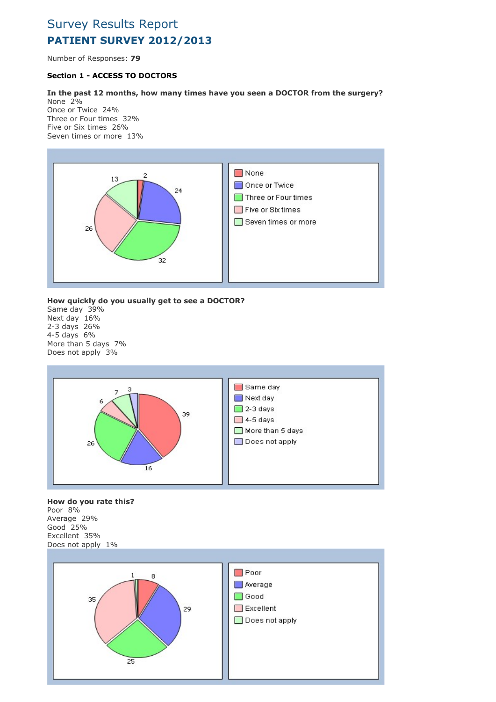# Survey Results Report PATIENT SURVEY 2012/2013

Number of Responses: 79

# Section 1 - ACCESS TO DOCTORS

## In the past 12 months, how many times have you seen a DOCTOR from the surgery?

None 2% Once or Twice 24% Three or Four times 32% Five or Six times 26% Seven times or more 13%



# How quickly do you usually get to see a DOCTOR?

Same day 39% Next day 16% 2-3 days 26% 4-5 days 6% More than 5 days 7% Does not apply 3%



#### How do you rate this? Poor 8% Average 29% Good 25%

Excellent 35% Does not apply 1%

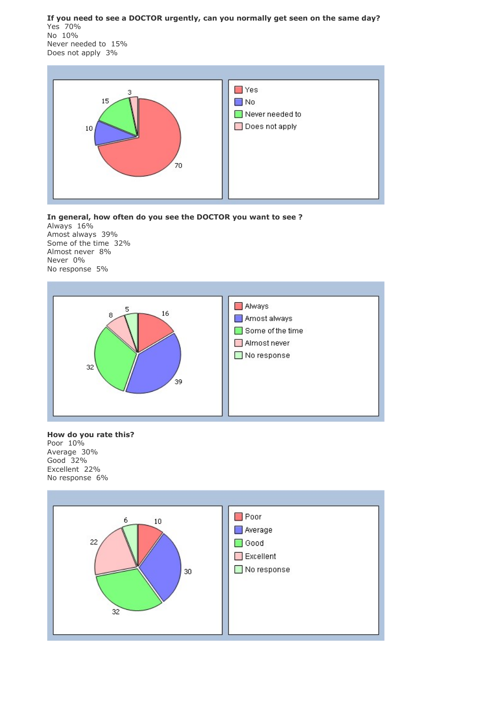If you need to see a DOCTOR urgently, can you normally get seen on the same day? Yes 70% No 10% Never needed to 15% Does not apply 3%



In general, how often do you see the DOCTOR you want to see ? Always 16% Amost always 39% Some of the time 32% Almost never 8% Never 0% No response 5%



# How do you rate this? Poor 10%

Average 30% Good 32% Excellent 22% No response 6%

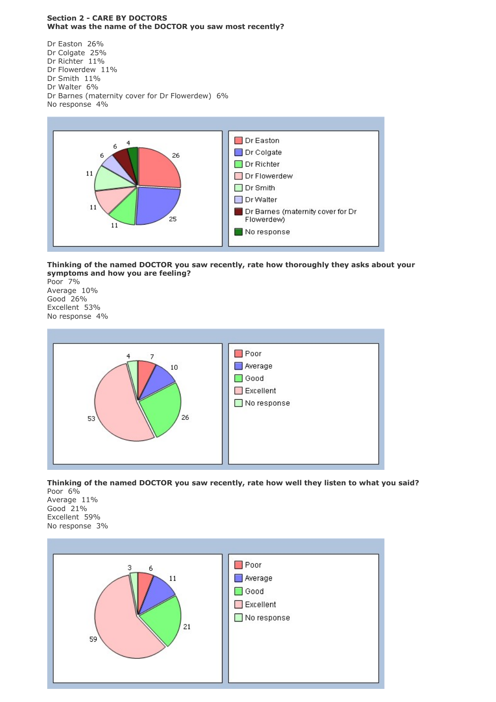## Section 2 - CARE BY DOCTORS What was the name of the DOCTOR you saw most recently?

Dr Easton 26% Dr Colgate 25% Dr Richter 11% Dr Flowerdew 11% Dr Smith 11% Dr Walter 6% Dr Barnes (maternity cover for Dr Flowerdew) 6% No response 4%



# Thinking of the named DOCTOR you saw recently, rate how thoroughly they asks about your symptoms and how you are feeling?

Poor 7% Average 10% Good 26% Excellent 53% No response 4%



#### Thinking of the named DOCTOR you saw recently, rate how well they listen to what you said? Poor 6%

Average 11% Good 21% Excellent 59% No response 3%

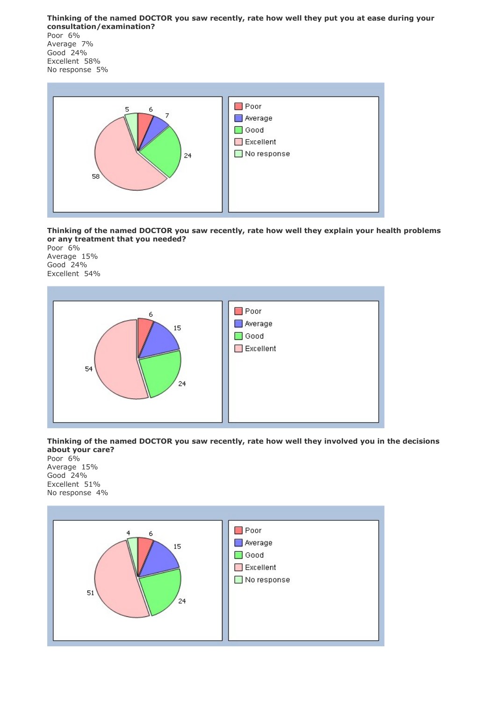Thinking of the named DOCTOR you saw recently, rate how well they put you at ease during your consultation/examination?

Poor 6% Average 7% Good 24% Excellent 58% No response 5%



Thinking of the named DOCTOR you saw recently, rate how well they explain your health problems or any treatment that you needed?

Poor 6% Average 15% Good 24% Excellent 54%



Thinking of the named DOCTOR you saw recently, rate how well they involved you in the decisions about your care?

Poor 6% Average 15% Good 24% Excellent 51% No response 4%

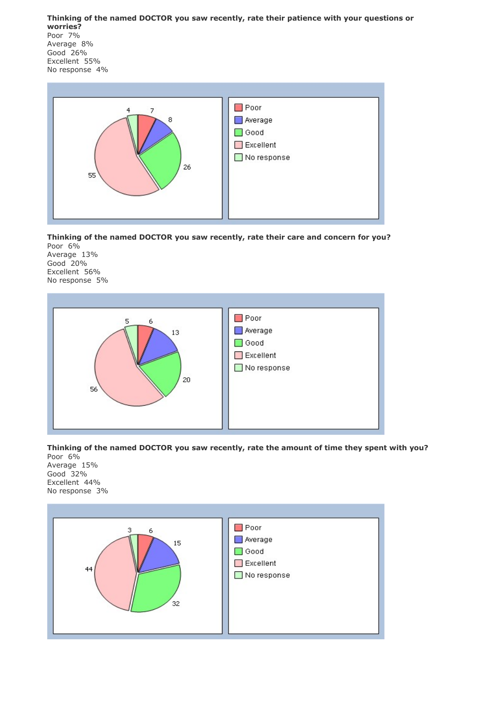Thinking of the named DOCTOR you saw recently, rate their patience with your questions or worries? Poor 7% Average 8% Good 26% Excellent 55% No response 4%



Thinking of the named DOCTOR you saw recently, rate their care and concern for you?

Poor 6% Average 13% Good 20% Excellent 56% No response 5%



Thinking of the named DOCTOR you saw recently, rate the amount of time they spent with you?

Poor 6% Average 15% Good 32% Excellent 44% No response 3%

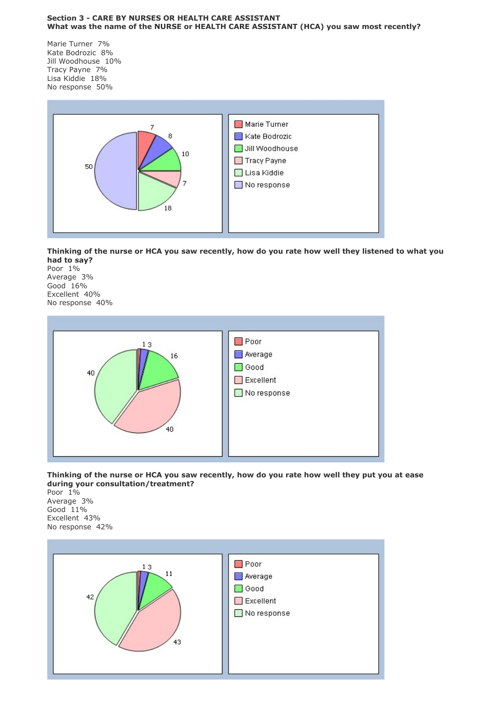#### Section 3 - CARE BY NURSES OR HEALTH CARE ASSISTANT What was the name of the NURSE or HEALTH CARE ASSISTANT (HCA) you saw most recently?

Marie Turner 7% Kate Bodrozic 8% Jill Woodhouse 10% Tracy Payne 7% Lisa Kiddie 18% No response 50%



Thinking of the nurse or HCA you saw recently, how do you rate how well they listened to what you had to say?

Poor 1% Average 3% Good 16% Excellent 40% No response 40%



Thinking of the nurse or HCA you saw recently, how do you rate how well they put you at ease during your consultation/treatment?

Poor 1% Average 3% Good 11% Excellent 43% No response 42%

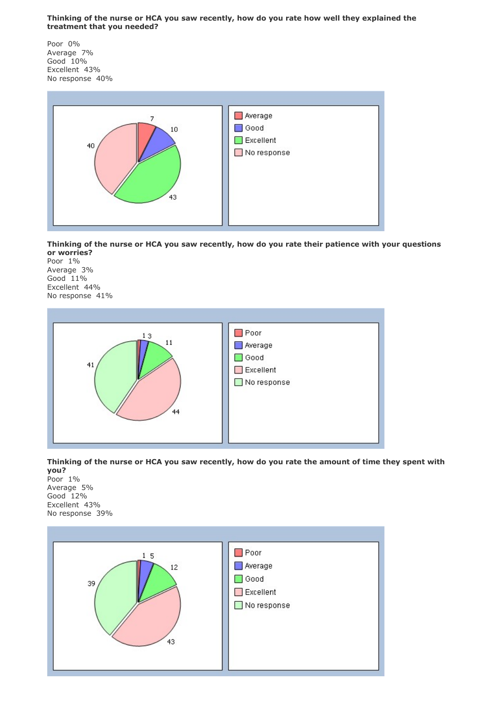## Thinking of the nurse or HCA you saw recently, how do you rate how well they explained the treatment that you needed?

Poor 0% Average 7% Good 10% Excellent 43% No response 40%



Thinking of the nurse or HCA you saw recently, how do you rate their patience with your questions or worries?

Poor 1% Average 3% Good 11% Excellent 44% No response 41%



Thinking of the nurse or HCA you saw recently, how do you rate the amount of time they spent with

you? Poor 1% Average 5% Good 12% Excellent 43% No response 39%

![](_page_6_Figure_8.jpeg)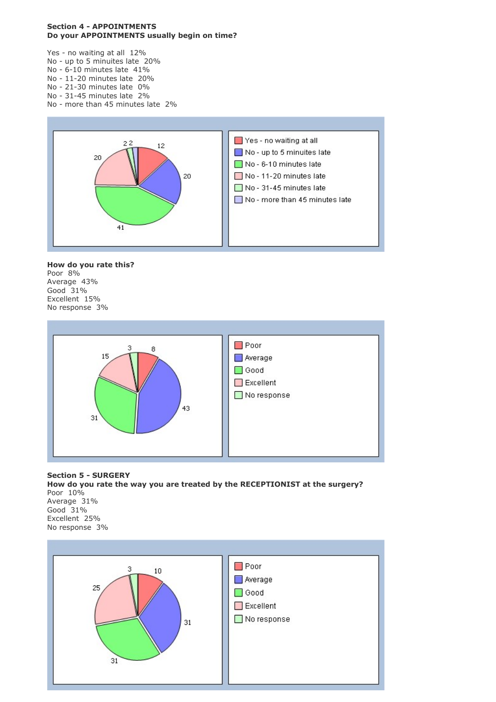### Section 4 - APPOINTMENTS Do your APPOINTMENTS usually begin on time?

Yes - no waiting at all 12%

- No up to 5 minuites late 20%
- No 6-10 minutes late 41%
- No 11-20 minutes late 20% No - 21-30 minutes late 0%
- No 31-45 minutes late 2%
- No more than 45 minutes late 2%

![](_page_7_Figure_7.jpeg)

#### How do you rate this? Poor 8% Average 43% Good 31% Excellent 15% No response 3%

![](_page_7_Figure_9.jpeg)

Section 5 - SURGERY How do you rate the way you are treated by the RECEPTIONIST at the surgery? Poor 10% Average 31% Good 31% Excellent 25% No response 3%

![](_page_7_Figure_11.jpeg)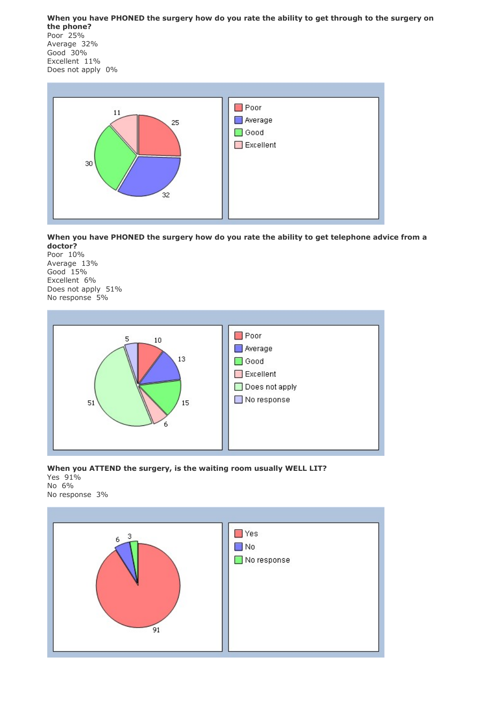When you have PHONED the surgery how do you rate the ability to get through to the surgery on the phone? Poor 25% Average 32% Good 30% Excellent 11% Does not apply 0%

![](_page_8_Figure_1.jpeg)

When you have PHONED the surgery how do you rate the ability to get telephone advice from a doctor?

Poor 10% Average 13% Good 15% Excellent 6% Does not apply 51% No response 5%

![](_page_8_Figure_4.jpeg)

#### When you ATTEND the surgery, is the waiting room usually WELL LIT? Yes 91% No 6% No response 3%

![](_page_8_Figure_6.jpeg)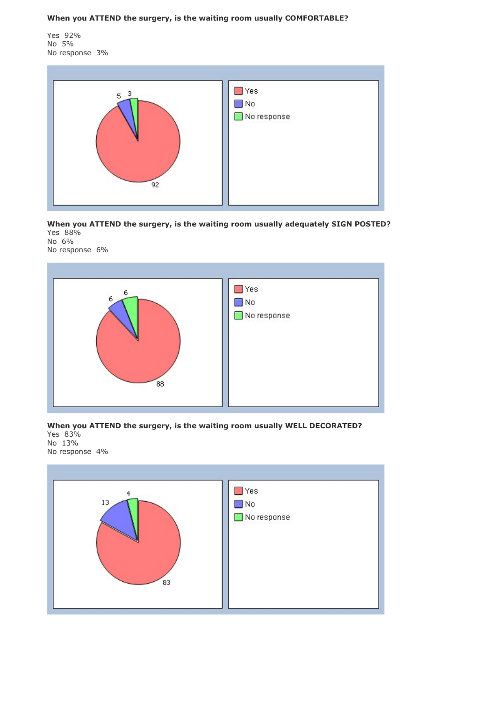When you ATTEND the surgery, is the waiting room usually COMFORTABLE?

Yes 92% No 5% No response 3%

![](_page_9_Figure_2.jpeg)

When you ATTEND the surgery, is the waiting room usually adequately SIGN POSTED? Yes 88% No 6%

No response 6%

![](_page_9_Figure_5.jpeg)

## When you ATTEND the surgery, is the waiting room usually WELL DECORATED? Yes 83% No 13% No response 4%

![](_page_9_Figure_7.jpeg)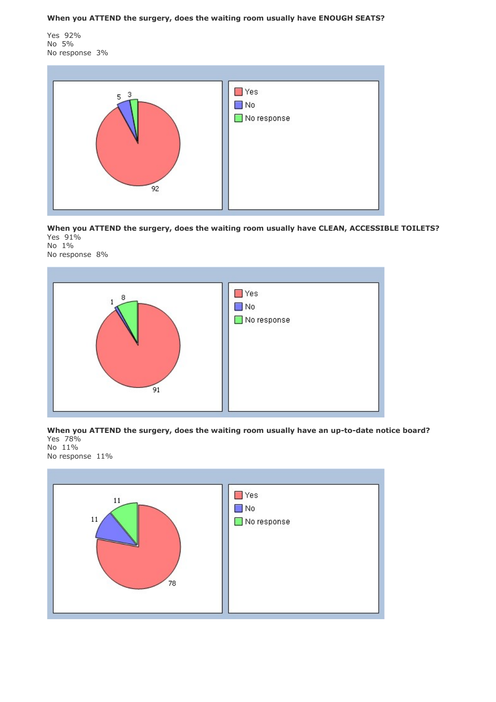When you ATTEND the surgery, does the waiting room usually have ENOUGH SEATS?

Yes 92% No 5% No response 3%

![](_page_10_Figure_2.jpeg)

When you ATTEND the surgery, does the waiting room usually have CLEAN, ACCESSIBLE TOILETS? Yes 91% No 1%

No response 8%

![](_page_10_Figure_5.jpeg)

When you ATTEND the surgery, does the waiting room usually have an up-to-date notice board? Yes 78% No 11%

No response 11%

![](_page_10_Figure_8.jpeg)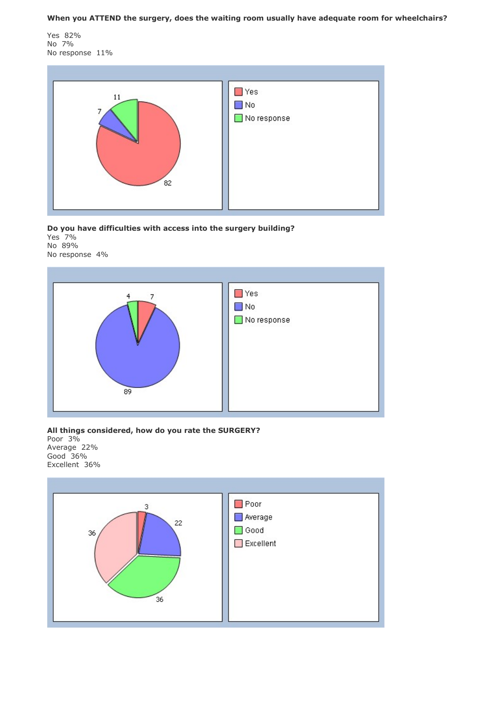When you ATTEND the surgery, does the waiting room usually have adequate room for wheelchairs?

Yes 82% No 7% No response 11%

![](_page_11_Figure_2.jpeg)

Do you have difficulties with access into the surgery building?

Yes 7% No 89% No response 4%

![](_page_11_Figure_5.jpeg)

All things considered, how do you rate the SURGERY?

Poor 3% Average 22% Good 36% Excellent 36%

![](_page_11_Figure_8.jpeg)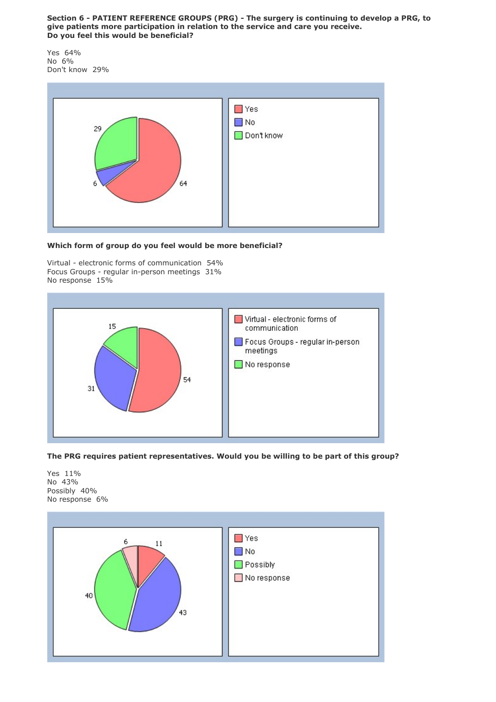## Section 6 - PATIENT REFERENCE GROUPS (PRG) - The surgery is continuing to develop a PRG, to give patients more participation in relation to the service and care you receive. Do you feel this would be beneficial?

Yes 64% No 6% Don't know 29%

![](_page_12_Figure_2.jpeg)

## Which form of group do you feel would be more beneficial?

Virtual - electronic forms of communication 54% Focus Groups - regular in-person meetings 31% No response 15%

![](_page_12_Picture_5.jpeg)

## The PRG requires patient representatives. Would you be willing to be part of this group?

Yes 11% No 43% Possibly 40% No response 6%

![](_page_12_Figure_8.jpeg)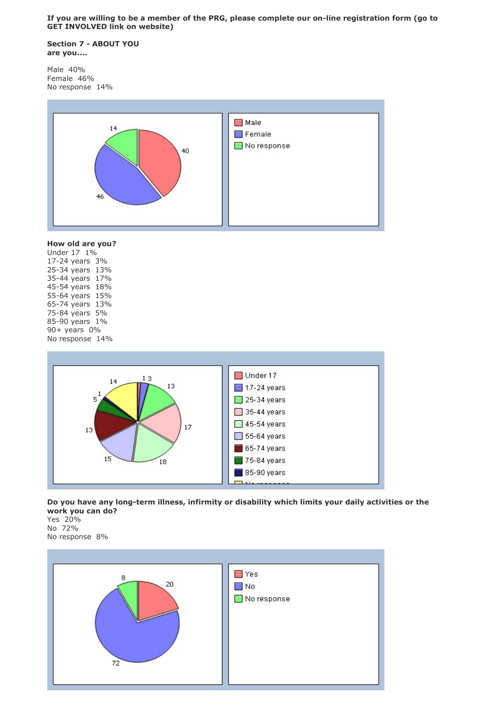If you are willing to be a member of the PRG, please complete our on-line registration form (go to GET INVOLVED link on website)

Section 7 - ABOUT YOU are you....

Male 40% Female 46% No response 14%

![](_page_13_Figure_3.jpeg)

# How old are you?

Under 17 1% 17-24 years 3% 25-34 years 13% 35-44 years 17% 45-54 years 18% 55-64 years 15% 65-74 years 13% 75-84 years 5% 85-90 years 1% 90+ years 0% No response 14%

![](_page_13_Figure_6.jpeg)

Do you have any long-term illness, infirmity or disability which limits your daily activities or the work you can do?

Yes 20% No 72%

![](_page_13_Figure_9.jpeg)